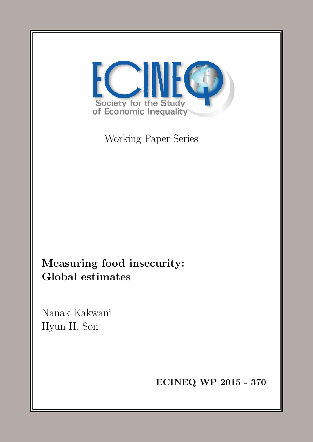<span id="page-0-0"></span>

Working Paper Series

Measuring food insecurity: Global estimates

Nanak Kakwani Hyun H. Son

ECINEQ WP 2015 - 370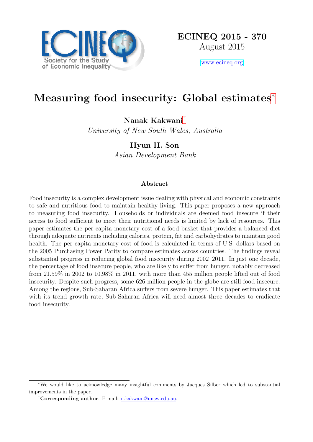

[www.ecineq.org](file:www.ecineq.org)

# Measuring food insecurity: Global estimates[∗](#page-0-0)

Nanak Kakwani[†](#page-0-0)

University of New South Wales, Australia

Hyun H. Son Asian Development Bank

#### Abstract

Food insecurity is a complex development issue dealing with physical and economic constraints to safe and nutritious food to maintain healthy living. This paper proposes a new approach to measuring food insecurity. Households or individuals are deemed food insecure if their access to food sufficient to meet their nutritional needs is limited by lack of resources. This paper estimates the per capita monetary cost of a food basket that provides a balanced diet through adequate nutrients including calories, protein, fat and carbohydrates to maintain good health. The per capita monetary cost of food is calculated in terms of U.S. dollars based on the 2005 Purchasing Power Parity to compare estimates across countries. The findings reveal substantial progress in reducing global food insecurity during 2002–2011. In just one decade, the percentage of food insecure people, who are likely to suffer from hunger, notably decreased from 21.59% in 2002 to 10.98% in 2011, with more than 455 million people lifted out of food insecurity. Despite such progress, some 626 million people in the globe are still food insecure. Among the regions, Sub-Saharan Africa suffers from severe hunger. This paper estimates that with its trend growth rate, Sub-Saharan Africa will need almost three decades to eradicate food insecurity.

<sup>∗</sup>We would like to acknowledge many insightful comments by Jacques Silber which led to substantial improvements in the paper.

<sup>†</sup>Corresponding author. E-mail: n.kakwani@unsw.edu.au.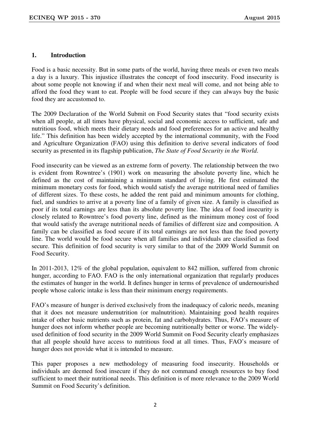# **1. Introduction**

Food is a basic necessity. But in some parts of the world, having three meals or even two meals a day is a luxury. This injustice illustrates the concept of food insecurity. Food insecurity is about some people not knowing if and when their next meal will come, and not being able to afford the food they want to eat. People will be food secure if they can always buy the basic food they are accustomed to.

The 2009 Declaration of the World Submit on Food Security states that "food security exists when all people, at all times have physical, social and economic access to sufficient, safe and nutritious food, which meets their dietary needs and food preferences for an active and healthy life." This definition has been widely accepted by the international community, with the Food and Agriculture Organization (FAO) using this definition to derive several indicators of food security as presented in its flagship publication, *The State of Food Security in the World*.

Food insecurity can be viewed as an extreme form of poverty. The relationship between the two is evident from Rowntree's (1901) work on measuring the absolute poverty line, which he defined as the cost of maintaining a minimum standard of living. He first estimated the minimum monetary costs for food, which would satisfy the average nutritional need of families of different sizes. To these costs, he added the rent paid and minimum amounts for clothing, fuel, and sundries to arrive at a poverty line of a family of given size. A family is classified as poor if its total earnings are less than its absolute poverty line. The idea of food insecurity is closely related to Rowntree's food poverty line, defined as the minimum money cost of food that would satisfy the average nutritional needs of families of different size and composition. A family can be classified as food secure if its total earnings are not less than the food poverty line. The world would be food secure when all families and individuals are classified as food secure. This definition of food security is very similar to that of the 2009 World Summit on Food Security.

In 2011-2013, 12% of the global population, equivalent to 842 million, suffered from chronic hunger, according to FAO. FAO is the only international organization that regularly produces the estimates of hunger in the world. It defines hunger in terms of prevalence of undernourished people whose caloric intake is less than their minimum energy requirements.

FAO's measure of hunger is derived exclusively from the inadequacy of caloric needs, meaning that it does not measure undernutrition (or malnutrition). Maintaining good health requires intake of other basic nutrients such as protein, fat and carbohydrates. Thus, FAO's measure of hunger does not inform whether people are becoming nutritionally better or worse. The widelyused definition of food security in the 2009 World Summit on Food Security clearly emphasizes that all people should have access to nutritious food at all times. Thus, FAO's measure of hunger does not provide what it is intended to measure.

This paper proposes a new methodology of measuring food insecurity. Households or individuals are deemed food insecure if they do not command enough resources to buy food sufficient to meet their nutritional needs. This definition is of more relevance to the 2009 World Summit on Food Security's definition.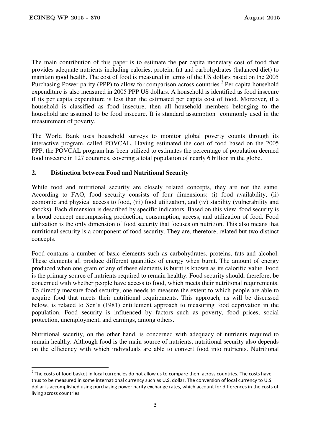-

The main contribution of this paper is to estimate the per capita monetary cost of food that provides adequate nutrients including calories, protein, fat and carbohydrates (balanced diet) to maintain good health. The cost of food is measured in terms of the US dollars based on the 2005 Purchasing Power parity (PPP) to allow for comparison across countries.<sup>2</sup> Per capita household expenditure is also measured in 2005 PPP US dollars. A household is identified as food insecure if its per capita expenditure is less than the estimated per capita cost of food. Moreover, if a household is classified as food insecure, then all household members belonging to the household are assumed to be food insecure. It is standard assumption commonly used in the measurement of poverty.

The World Bank uses household surveys to monitor global poverty counts through its interactive program, called POVCAL. Having estimated the cost of food based on the 2005 PPP, the POVCAL program has been utilized to estimates the percentage of population deemed food insecure in 127 countries, covering a total population of nearly 6 billion in the globe.

# **2. Distinction between Food and Nutritional Security**

While food and nutritional security are closely related concepts, they are not the same. According to FAO, food security consists of four dimensions: (i) food availability, (ii) economic and physical access to food, (iii) food utilization, and (iv) stability (vulnerability and shocks). Each dimension is described by specific indicators. Based on this view, food security is a broad concept encompassing production, consumption, access, and utilization of food. Food utilization is the only dimension of food security that focuses on nutrition. This also means that nutritional security is a component of food security. They are, therefore, related but two distinct concepts.

Food contains a number of basic elements such as carbohydrates, proteins, fats and alcohol. These elements all produce different quantities of energy when burnt. The amount of energy produced when one gram of any of these elements is burnt is known as its calorific value. Food is the primary source of nutrients required to remain healthy. Food security should, therefore, be concerned with whether people have access to food, which meets their nutritional requirements. To directly measure food security, one needs to measure the extent to which people are able to acquire food that meets their nutritional requirements. This approach, as will be discussed below, is related to Sen's (1981) entitlement approach to measuring food deprivation in the population. Food security is influenced by factors such as poverty, food prices, social protection, unemployment, and earnings, among others.

Nutritional security, on the other hand, is concerned with adequacy of nutrients required to remain healthy. Although food is the main source of nutrients, nutritional security also depends on the efficiency with which individuals are able to convert food into nutrients. Nutritional

 $2$  The costs of food basket in local currencies do not allow us to compare them across countries. The costs have thus to be measured in some international currency such as U.S. dollar. The conversion of local currency to U.S. dollar is accomplished using purchasing power parity exchange rates, which account for differences in the costs of living across countries.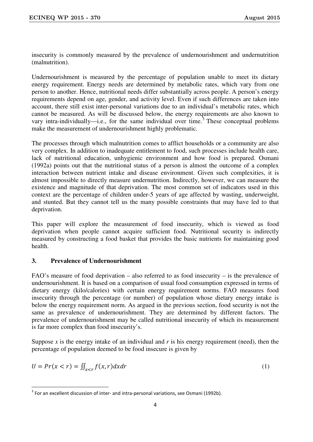insecurity is commonly measured by the prevalence of undernourishment and undernutrition (malnutrition).

Undernourishment is measured by the percentage of population unable to meet its dietary energy requirement. Energy needs are determined by metabolic rates, which vary from one person to another. Hence, nutritional needs differ substantially across people. A person's energy requirements depend on age, gender, and activity level. Even if such differences are taken into account, there still exist inter-personal variations due to an individual's metabolic rates, which cannot be measured. As will be discussed below, the energy requirements are also known to vary intra-individually—i.e., for the same individual over time.<sup>3</sup> These conceptual problems make the measurement of undernourishment highly problematic.

The processes through which malnutrition comes to afflict households or a community are also very complex. In addition to inadequate entitlement to food, such processes include health care, lack of nutritional education, unhygienic environment and how food is prepared. Osmani (1992a) points out that the nutritional status of a person is almost the outcome of a complex interaction between nutrient intake and disease environment. Given such complexities, it is almost impossible to directly measure undernutrition. Indirectly, however, we can measure the existence and magnitude of that deprivation. The most common set of indicators used in this context are the percentage of children under-5 years of age affected by wasting, underweight, and stunted. But they cannot tell us the many possible constraints that may have led to that deprivation.

This paper will explore the measurement of food insecurity, which is viewed as food deprivation when people cannot acquire sufficient food. Nutritional security is indirectly measured by constructing a food basket that provides the basic nutrients for maintaining good health.

# **3. Prevalence of Undernourishment**

-

FAO's measure of food deprivation – also referred to as food insecurity – is the prevalence of undernourishment. It is based on a comparison of usual food consumption expressed in terms of dietary energy (kilo/calories) with certain energy requirement norms. FAO measures food insecurity through the percentage (or number) of population whose dietary energy intake is below the energy requirement norm. As argued in the previous section, food security is not the same as prevalence of undernourishment. They are determined by different factors. The prevalence of undernourishment may be called nutritional insecurity of which its measurement is far more complex than food insecurity's.

Suppose  $x$  is the energy intake of an individual and  $r$  is his energy requirement (need), then the percentage of population deemed to be food insecure is given by

$$
U = Pr(x < r) = \iint_{x < r} f(x, r) dx dr \tag{1}
$$

 $3$  For an excellent discussion of inter- and intra-personal variations, see Osmani (1992b).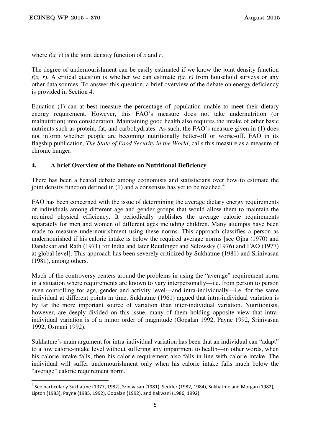<u>.</u>

where  $f(x, r)$  is the joint density function of x and r.

The degree of undernourishment can be easily estimated if we know the joint density function *f(x, r).* A critical question is whether we can estimate  $f(x, r)$  from household surveys or any other data sources. To answer this question, a brief overview of the debate on energy deficiency is provided in Section 4.

Equation (1) can at best measure the percentage of population unable to meet their dietary energy requirement. However, this FAO's measure does not take undernutrition (or malnutrition) into consideration. Maintaining good health also requires the intake of other basic nutrients such as protein, fat, and carbohydrates. As such, the FAO's measure given in (1) does not inform whether people are becoming nutritionally better-off or worse-off. FAO in its flagship publication, *The State of Food Security in the World*, calls this measure as a measure of chronic hunger.

#### **4. A brief Overview of the Debate on Nutritional Deficiency**

There has been a heated debate among economists and statisticians over how to estimate the joint density function defined in  $(1)$  and a consensus has yet to be reached.<sup>4</sup>

FAO has been concerned with the issue of determining the average dietary energy requirements of individuals among different age and gender groups that would allow them to maintain the required physical efficiency. It periodically publishes the average calorie requirements separately for men and women of different ages including children. Many attempts have been made to measure undernourishment using these norms. This approach classifies a person as undernourished if his calorie intake is below the required average norms [see Ojha (1970) and Dandekar and Rath (1971) for India and later Reutlinger and Selowsky (1976) and FAO (1977) at global level]. This approach has been severely criticized by Sukhatme (1981) and Srinivasan (1981), among others.

Much of the controversy centers around the problems in using the "average" requirement norm in a situation where requirements are known to vary interpersonally—i.e. from person to person even controlling for age, gender and activity level—and intra-individually—i.e. for the same individual at different points in time. Sukhatme (1961) argued that intra-individual variation is by far the more important source of variation than inter-individual variation. Nutritionists, however, are deeply divided on this issue, many of them holding opposite view that intraindividual variation is of a minor order of magnitude (Gopalan 1992, Payne 1992, Srinivasan 1992, Osmani 1992).

Sukhatme's main argument for intra-individual variation has been that an individual can "adapt" to a low calorie-intake level without suffering any impairment to health—in other words, when his calorie intake falls, then his calorie requirement also falls in line with calorie intake. The individual will suffer undernourishment only when his calorie intake falls much below the "average" calorie requirement norm.

<sup>&</sup>lt;sup>4</sup> See particularly Sukhatme (1977, 1982), Srinivasan (1981), Seckler (1982, 1984), Sukhatme and Morgan (1982), Lipton (1983), Payne (1985, 1992), Gopalan (1992), and Kakwani (1986, 1992).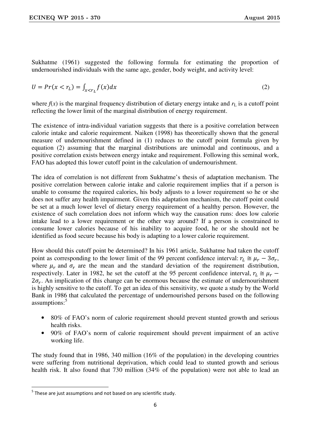Sukhatme (1961) suggested the following formula for estimating the proportion of undernourished individuals with the same age, gender, body weight, and activity level:

$$
U = Pr(x < r_L) = \int_{x < r_L} f(x) dx
$$
 (2)

where  $f(x)$  is the marginal frequency distribution of dietary energy intake and  $r<sub>L</sub>$  is a cutoff point reflecting the lower limit of the marginal distribution of energy requirement.

The existence of intra-individual variation suggests that there is a positive correlation between calorie intake and calorie requirement. Naiken (1998) has theoretically shown that the general measure of undernourishment defined in (1) reduces to the cutoff point formula given by equation (2) assuming that the marginal distributions are unimodal and continuous, and a positive correlation exists between energy intake and requirement. Following this seminal work, FAO has adopted this lower cutoff point in the calculation of undernourishment.

The idea of correlation is not different from Sukhatme's thesis of adaptation mechanism. The positive correlation between calorie intake and calorie requirement implies that if a person is unable to consume the required calories, his body adjusts to a lower requirement so he or she does not suffer any health impairment. Given this adaptation mechanism, the cutoff point could be set at a much lower level of dietary energy requirement of a healthy person. However, the existence of such correlation does not inform which way the causation runs: does low calorie intake lead to a lower requirement or the other way around? If a person is constrained to consume lower calories because of his inability to acquire food, he or she should not be identified as food secure because his body is adapting to a lower calorie requirement.

How should this cutoff point be determined? In his 1961 article, Sukhatme had taken the cutoff point as corresponding to the lower limit of the 99 percent confidence interval:  $r_L \approx \mu_r - 3\sigma_r$ , where  $\mu_r$  and  $\sigma_r$  are the mean and the standard deviation of the requirement distribution, respectively. Later in 1982, he set the cutoff at the 95 percent confidence interval,  $r_L \approx \mu_r$  –  $2\sigma_r$ . An implication of this change can be enormous because the estimate of undernourishment is highly sensitive to the cutoff. To get an idea of this sensitivity, we quote a study by the World Bank in 1986 that calculated the percentage of undernourished persons based on the following assumptions:<sup>5</sup>

- 80% of FAO's norm of calorie requirement should prevent stunted growth and serious health risks.
- 90% of FAO's norm of calorie requirement should prevent impairment of an active working life.

The study found that in 1986, 340 million (16% of the population) in the developing countries were suffering from nutritional deprivation, which could lead to stunted growth and serious health risk. It also found that 730 million (34% of the population) were not able to lead an

-

 $<sup>5</sup>$  These are just assumptions and not based on any scientific study.</sup>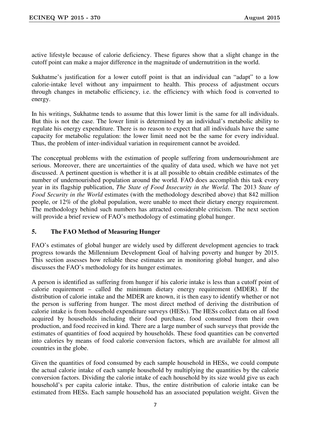active lifestyle because of calorie deficiency. These figures show that a slight change in the cutoff point can make a major difference in the magnitude of undernutrition in the world.

Sukhatme's justification for a lower cutoff point is that an individual can "adapt" to a low calorie-intake level without any impairment to health. This process of adjustment occurs through changes in metabolic efficiency, i.e. the efficiency with which food is converted to energy.

In his writings, Sukhatme tends to assume that this lower limit is the same for all individuals. But this is not the case. The lower limit is determined by an individual's metabolic ability to regulate his energy expenditure. There is no reason to expect that all individuals have the same capacity for metabolic regulation: the lower limit need not be the same for every individual. Thus, the problem of inter-individual variation in requirement cannot be avoided.

The conceptual problems with the estimation of people suffering from undernourishment are serious. Moreover, there are uncertainties of the quality of data used, which we have not yet discussed. A pertinent question is whether it is at all possible to obtain credible estimates of the number of undernourished population around the world. FAO does accomplish this task every year in its flagship publication, *The State of Food Insecurity in the World*. The 2013 *State of Food Security in the World* estimates (with the methodology described above) that 842 million people, or 12% of the global population, were unable to meet their dietary energy requirement. The methodology behind such numbers has attracted considerable criticism. The next section will provide a brief review of FAO's methodology of estimating global hunger.

# **5. The FAO Method of Measuring Hunger**

FAO's estimates of global hunger are widely used by different development agencies to track progress towards the Millennium Development Goal of halving poverty and hunger by 2015. This section assesses how reliable these estimates are in monitoring global hunger, and also discusses the FAO's methodology for its hunger estimates.

A person is identified as suffering from hunger if his calorie intake is less than a cutoff point of calorie requirement – called the minimum dietary energy requirement (MDER). If the distribution of calorie intake and the MDER are known, it is then easy to identify whether or not the person is suffering from hunger. The most direct method of deriving the distribution of calorie intake is from household expenditure surveys (HESs). The HESs collect data on all food acquired by households including their food purchase, food consumed from their own production, and food received in kind. There are a large number of such surveys that provide the estimates of quantities of food acquired by households. These food quantities can be converted into calories by means of food calorie conversion factors, which are available for almost all countries in the globe.

Given the quantities of food consumed by each sample household in HESs, we could compute the actual calorie intake of each sample household by multiplying the quantities by the calorie conversion factors. Dividing the calorie intake of each household by its size would give us each household's per capita calorie intake. Thus, the entire distribution of calorie intake can be estimated from HESs. Each sample household has an associated population weight. Given the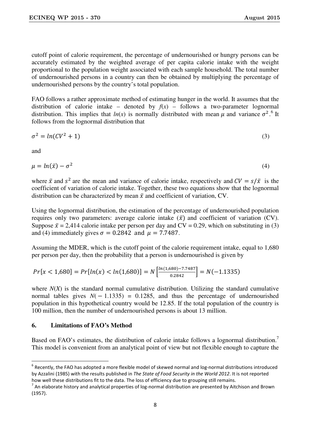cutoff point of calorie requirement, the percentage of undernourished or hungry persons can be accurately estimated by the weighted average of per capita calorie intake with the weight proportional to the population weight associated with each sample household. The total number of undernourished persons in a country can then be obtained by multiplying the percentage of undernourished persons by the country's total population.

FAO follows a rather approximate method of estimating hunger in the world. It assumes that the distribution of calorie intake – denoted by  $f(x)$  – follows a two-parameter lognormal distribution. This implies that  $ln(x)$  is normally distributed with mean  $\mu$  and variance  $\sigma^2$ .<sup>6</sup> It follows from the lognormal distribution that

$$
\sigma^2 = \ln(CV^2 + 1) \tag{3}
$$

and

-

$$
\mu = \ln(\bar{x}) - \sigma^2 \tag{4}
$$

where  $\bar{x}$  and  $s^2$  are the mean and variance of calorie intake, respectively and  $CV = s/\bar{x}$  is the coefficient of variation of calorie intake. Together, these two equations show that the lognormal distribution can be characterized by mean  $\bar{x}$  and coefficient of variation, CV.

Using the lognormal distribution, the estimation of the percentage of undernourished population requires only two parameters: average calorie intake  $(\bar{x})$  and coefficient of variation (CV). Suppose  $\bar{x} = 2.414$  calorie intake per person per day and CV = 0.29, which on substituting in (3) and (4) immediately gives  $\sigma = 0.2842$  and  $\mu = 7.7487$ .

Assuming the MDER, which is the cutoff point of the calorie requirement intake, equal to 1,680 per person per day, then the probability that a person is undernourished is given by

$$
Pr[x < 1,680] = Pr[ln(x) < ln(1,680)] = N\left[\frac{ln(1,680) - 7.7487}{0.2842}\right] = N(-1.1335)
$$

where  $N(X)$  is the standard normal cumulative distribution. Utilizing the standard cumulative normal tables gives  $N(-1.1335) = 0.1285$ , and thus the percentage of undernourished population in this hypothetical country would be 12.85. If the total population of the country is 100 million, then the number of undernourished persons is about 13 million.

# **6. Limitations of FAO's Method**

Based on FAO's estimates, the distribution of calorie intake follows a lognormal distribution.<sup>7</sup> This model is convenient from an analytical point of view but not flexible enough to capture the

 $^6$  Recently, the FAO has adopted a more flexible model of skewed normal and log-normal distributions introduced by Azzalini (1985) with the results published in *The State of Food Security in the World 2012*. It is not reported how well these distributions fit to the data. The loss of efficiency due to grouping still remains.

 $^7$  An elaborate history and analytical properties of log-normal distribution are presented by Aitchison and Brown (1957).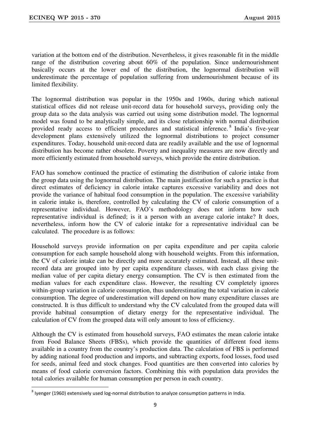-

variation at the bottom end of the distribution. Nevertheless, it gives reasonable fit in the middle range of the distribution covering about 60% of the population. Since undernourishment basically occurs at the lower end of the distribution, the lognormal distribution will underestimate the percentage of population suffering from undernourishment because of its limited flexibility.

The lognormal distribution was popular in the 1950s and 1960s, during which national statistical offices did not release unit-record data for household surveys, providing only the group data so the data analysis was carried out using some distribution model. The lognormal model was found to be analytically simple, and its close relationship with normal distribution provided ready access to efficient procedures and statistical inference.<sup>8</sup> India's five-year development plans extensively utilized the lognormal distributions to project consumer expenditures. Today, household unit-record data are readily available and the use of lognormal distribution has become rather obsolete. Poverty and inequality measures are now directly and more efficiently estimated from household surveys, which provide the entire distribution.

FAO has somehow continued the practice of estimating the distribution of calorie intake from the group data using the lognormal distribution. The main justification for such a practice is that direct estimates of deficiency in calorie intake captures excessive variability and does not provide the variance of habitual food consumption in the population. The excessive variability in calorie intake is, therefore, controlled by calculating the CV of calorie consumption of a representative individual. However, FAO's methodology does not inform how such representative individual is defined; is it a person with an average calorie intake? It does, nevertheless, inform how the CV of calorie intake for a representative individual can be calculated. The procedure is as follows:

Household surveys provide information on per capita expenditure and per capita calorie consumption for each sample household along with household weights. From this information, the CV of calorie intake can be directly and more accurately estimated. Instead, all these unitrecord data are grouped into by per capita expenditure classes, with each class giving the median value of per capita dietary energy consumption. The CV is then estimated from the median values for each expenditure class. However, the resulting CV completely ignores within-group variation in calorie consumption, thus underestimating the total variation in calorie consumption. The degree of underestimation will depend on how many expenditure classes are constructed. It is thus difficult to understand why the CV calculated from the grouped data will provide habitual consumption of dietary energy for the representative individual. The calculation of CV from the grouped data will only amount to loss of efficiency.

Although the CV is estimated from household surveys, FAO estimates the mean calorie intake from Food Balance Sheets (FBSs), which provide the quantities of different food items available in a country from the country's production data. The calculation of FBS is performed by adding national food production and imports, and subtracting exports, food losses, food used for seeds, animal feed and stock changes. Food quantities are then converted into calories by means of food calorie conversion factors. Combining this with population data provides the total calories available for human consumption per person in each country.

 $^8$  Iyenger (1960) extensively used log-normal distribution to analyze consumption patterns in India.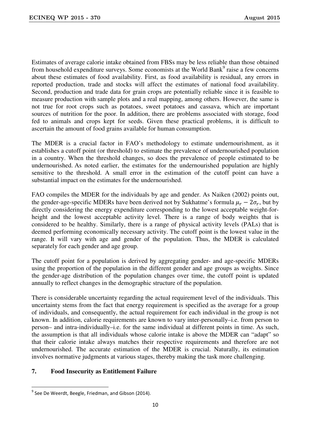Estimates of average calorie intake obtained from FBSs may be less reliable than those obtained from household expenditure surveys. Some economists at the World Bank<sup>9</sup> raise a few concerns about these estimates of food availability. First, as food availability is residual, any errors in reported production, trade and stocks will affect the estimates of national food availability. Second, production and trade data for grain crops are potentially reliable since it is feasible to measure production with sample plots and a real mapping, among others. However, the same is not true for root crops such as potatoes, sweet potatoes and cassava, which are important sources of nutrition for the poor. In addition, there are problems associated with storage, food fed to animals and crops kept for seeds. Given these practical problems, it is difficult to ascertain the amount of food grains available for human consumption.

The MDER is a crucial factor in FAO's methodology to estimate undernourishment, as it establishes a cutoff point (or threshold) to estimate the prevalence of undernourished population in a country. When the threshold changes, so does the prevalence of people estimated to be undernourished. As noted earlier, the estimates for the undernourished population are highly sensitive to the threshold. A small error in the estimation of the cutoff point can have a substantial impact on the estimates for the undernourished.

FAO compiles the MDER for the individuals by age and gender. As Naiken (2002) points out, the gender-age-specific MDERs have been derived not by Sukhatme's formula  $\mu_r - 2\sigma_r$ , but by directly considering the energy expenditure corresponding to the lowest acceptable weight-forheight and the lowest acceptable activity level. There is a range of body weights that is considered to be healthy. Similarly, there is a range of physical activity levels (PALs) that is deemed performing economically necessary activity. The cutoff point is the lowest value in the range. It will vary with age and gender of the population. Thus, the MDER is calculated separately for each gender and age group.

The cutoff point for a population is derived by aggregating gender- and age-specific MDERs using the proportion of the population in the different gender and age groups as weights. Since the gender-age distribution of the population changes over time, the cutoff point is updated annually to reflect changes in the demographic structure of the population.

There is considerable uncertainty regarding the actual requirement level of the individuals. This uncertainty stems from the fact that energy requirement is specified as the average for a group of individuals, and consequently, the actual requirement for each individual in the group is not known. In addition, calorie requirements are known to vary inter-personally–i.e. from person to person– and intra-individually–i.e. for the same individual at different points in time. As such, the assumption is that all individuals whose calorie intake is above the MDER can "adapt" so that their calorie intake always matches their respective requirements and therefore are not undernourished. The accurate estimation of the MDER is crucial. Naturally, its estimation involves normative judgments at various stages, thereby making the task more challenging.

# **7. Food Insecurity as Entitlement Failure**

-

 $^9$  See De Weerdt, Beegle, Friedman, and Gibson (2014).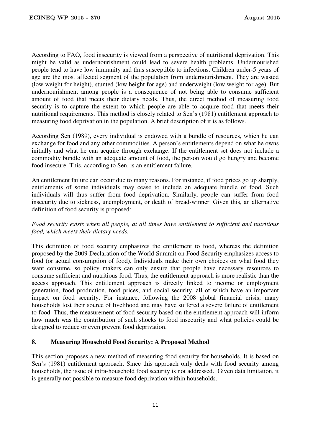According to FAO, food insecurity is viewed from a perspective of nutritional deprivation. This might be valid as undernourishment could lead to severe health problems. Undernourished people tend to have low immunity and thus susceptible to infections. Children under-5 years of age are the most affected segment of the population from undernourishment. They are wasted (low weight for height), stunted (low height for age) and underweight (low weight for age). But undernourishment among people is a consequence of not being able to consume sufficient amount of food that meets their dietary needs. Thus, the direct method of measuring food security is to capture the extent to which people are able to acquire food that meets their nutritional requirements. This method is closely related to Sen's (1981) entitlement approach to measuring food deprivation in the population. A brief description of it is as follows.

According Sen (1989), every individual is endowed with a bundle of resources, which he can exchange for food and any other commodities. A person's entitlements depend on what he owns initially and what he can acquire through exchange. If the entitlement set does not include a commodity bundle with an adequate amount of food, the person would go hungry and become food insecure. This, according to Sen, is an entitlement failure.

An entitlement failure can occur due to many reasons. For instance, if food prices go up sharply, entitlements of some individuals may cease to include an adequate bundle of food. Such individuals will thus suffer from food deprivation. Similarly, people can suffer from food insecurity due to sickness, unemployment, or death of bread-winner. Given this, an alternative definition of food security is proposed:

# *Food security exists when all people, at all times have entitlement to sufficient and nutritious food, which meets their dietary needs.*

This definition of food security emphasizes the entitlement to food, whereas the definition proposed by the 2009 Declaration of the World Summit on Food Security emphasizes access to food (or actual consumption of food). Individuals make their own choices on what food they want consume, so policy makers can only ensure that people have necessary resources to consume sufficient and nutritious food. Thus, the entitlement approach is more realistic than the access approach. This entitlement approach is directly linked to income or employment generation, food production, food prices, and social security, all of which have an important impact on food security. For instance, following the 2008 global financial crisis, many households lost their source of livelihood and may have suffered a severe failure of entitlement to food. Thus, the measurement of food security based on the entitlement approach will inform how much was the contribution of such shocks to food insecurity and what policies could be designed to reduce or even prevent food deprivation.

# **8. Measuring Household Food Security: A Proposed Method**

This section proposes a new method of measuring food security for households. It is based on Sen's (1981) entitlement approach. Since this approach only deals with food security among households, the issue of intra-household food security is not addressed. Given data limitation, it is generally not possible to measure food deprivation within households.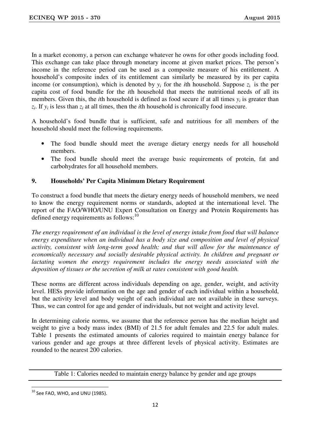In a market economy, a person can exchange whatever he owns for other goods including food. This exchange can take place through monetary income at given market prices. The person's income in the reference period can be used as a composite measure of his entitlement. A household's composite index of its entitlement can similarly be measured by its per capita income (or consumption), which is denoted by  $y_i$  for the *i*th household. Suppose  $z_i$  is the per capita cost of food bundle for the *i*th household that meets the nutritional needs of all its members. Given this, the *i*th household is defined as food secure if at all times  $y_i$  is greater than  $z_i$ . If  $y_i$  is less than  $z_i$  at all times, then the *i*th household is chronically food insecure.

A household's food bundle that is sufficient, safe and nutritious for all members of the household should meet the following requirements.

- The food bundle should meet the average dietary energy needs for all household members.
- The food bundle should meet the average basic requirements of protein, fat and carbohydrates for all household members.

# **9. Households' Per Capita Minimum Dietary Requirement**

To construct a food bundle that meets the dietary energy needs of household members, we need to know the energy requirement norms or standards, adopted at the international level. The report of the FAO/WHO/UNU Expert Consultation on Energy and Protein Requirements has defined energy requirements as follows: $^{10}$ 

*The energy requirement of an individual is the level of energy intake from food that will balance energy expenditure when an individual has a body size and composition and level of physical activity, consistent with long-term good health; and that will allow for the maintenance of economically necessary and socially desirable physical activity. In children and pregnant or lactating women the energy requirement includes the energy needs associated with the deposition of tissues or the secretion of milk at rates consistent with good health.* 

These norms are different across individuals depending on age, gender, weight, and activity level. HESs provide information on the age and gender of each individual within a household, but the activity level and body weight of each individual are not available in these surveys. Thus, we can control for age and gender of individuals, but not weight and activity level.

In determining calorie norms, we assume that the reference person has the median height and weight to give a body mass index (BMI) of 21.5 for adult females and 22.5 for adult males. Table 1 presents the estimated amounts of calories required to maintain energy balance for various gender and age groups at three different levels of physical activity. Estimates are rounded to the nearest 200 calories.

Table 1: Calories needed to maintain energy balance by gender and age groups

-

 $^{10}$  See FAO, WHO, and UNU (1985).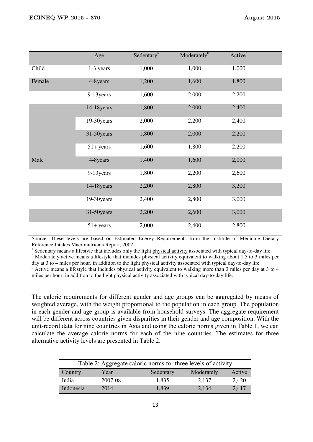|        | Age           | Sedentary <sup>a</sup> | Moderately <sup>b</sup> | Active <sup>c</sup> |  |
|--------|---------------|------------------------|-------------------------|---------------------|--|
| Child  | 1-3 years     | 1,000                  | 1,000                   | 1,000               |  |
| Female | 4-8years      | 1,200                  | 1,600                   | 1,800               |  |
|        | 9-13 years    | 1,600                  | 2,000                   | 2,200               |  |
|        | $14-18$ years | 1,800                  | 2,000                   | 2,400               |  |
|        | 19-30 years   | 2,000                  | 2,200                   | 2,400               |  |
|        | 31-50years    | 1,800                  | 2,000                   | 2,200               |  |
|        | $51 + years$  | 1,600                  | 1,800                   | 2,200               |  |
| Male   | 4-8years      | 1,400                  | 1,600                   | 2,000               |  |
|        | 9-13 years    | 1,800                  | 2,200                   | 2,600               |  |
|        | 14-18 years   | 2,200                  | 2,800                   | 3,200               |  |
|        | 19-30years    | 2,400                  | 2,800                   | 3,000               |  |
|        | 31-50years    | 2,200                  | 2,600                   | 3,000               |  |
|        | $51 + years$  | 2,000                  | 2,400                   | 2,800               |  |

Source: These levels are based on Estimated Energy Requirements from the Institute of Medicine Dietary Reference Intakes Macronutrients Report, 2002.

<sup>a</sup> Sedentary means a lifestyle that includes only the light physical activity associated with typical day-to-day life.

<sup>b</sup> Moderately active means a lifestyle that includes physical activity equivalent to walking about 1.5 to 3 miles per day at 3 to 4 miles per hour, in addition to the light physical activity associated with typical day-to-day life

<sup>c</sup> Active means a lifestyle that includes physical activity equivalent to walking more than 3 miles per day at 3 to 4 miles per hour, in addition to the light physical activity associated with typical day-to-day life.

The calorie requirements for different gender and age groups can be aggregated by means of weighted average, with the weight proportional to the population in each group. The population in each gender and age group is available from household surveys. The aggregate requirement will be different across countries given disparities in their gender and age composition. With the unit-record data for nine countries in Asia and using the calorie norms given in Table 1, we can calculate the average calorie norms for each of the nine countries. The estimates for three alternative activity levels are presented in Table 2.

| Table 2: Aggregate caloric norms for three levels of activity |         |           |            |        |  |  |
|---------------------------------------------------------------|---------|-----------|------------|--------|--|--|
| Country                                                       | Year    | Sedentary | Moderately | Active |  |  |
| India                                                         | 2007-08 | 1,835     | 2,137      | 2,420  |  |  |
| Indonesia                                                     | 2014    | 1,839     | 2,134      | 2,417  |  |  |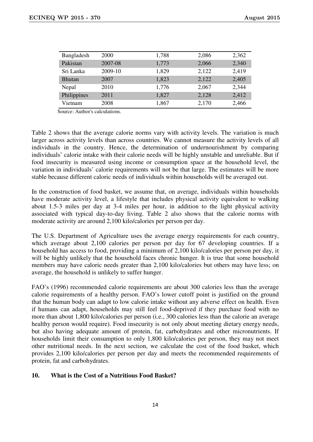| Bangladesh    | 2000    | 1,788 | 2,086 | 2,362 |
|---------------|---------|-------|-------|-------|
| Pakistan      | 2007-08 | 1,773 | 2,066 | 2,340 |
| Sri Lanka     | 2009-10 | 1,829 | 2,122 | 2,419 |
| <b>Bhutan</b> | 2007    | 1,823 | 2,122 | 2,405 |
| Nepal         | 2010    | 1,776 | 2,067 | 2,344 |
| Philippines   | 2011    | 1,827 | 2,128 | 2,412 |
| Vietnam       | 2008    | 1,867 | 2,170 | 2,466 |

Source: Author's calculations.

Table 2 shows that the average calorie norms vary with activity levels. The variation is much larger across activity levels than across countries. We cannot measure the activity levels of all individuals in the country. Hence, the determination of undernourishment by comparing individuals' calorie intake with their calorie needs will be highly unstable and unreliable. But if food insecurity is measured using income or consumption space at the household level, the variation in individuals' calorie requirements will not be that large. The estimates will be more stable because different caloric needs of individuals within households will be averaged out.

In the construction of food basket, we assume that, on average, individuals within households have moderate activity level, a lifestyle that includes physical activity equivalent to walking about 1.5-3 miles per day at 3-4 miles per hour, in addition to the light physical activity associated with typical day-to-day living. Table 2 also shows that the calorie norms with moderate activity are around 2,100 kilo/calories per person per day.

The U.S. Department of Agriculture uses the average energy requirements for each country, which average about 2,100 calories per person per day for 67 developing countries. If a household has access to food, providing a minimum of 2,100 kilo/calories per person per day, it will be highly unlikely that the household faces chronic hunger. It is true that some household members may have caloric needs greater than 2,100 kilo/calories but others may have less; on average, the household is unlikely to suffer hunger.

FAO's (1996) recommended calorie requirements are about 300 calories less than the average calorie requirements of a healthy person. FAO's lower cutoff point is justified on the ground that the human body can adapt to low calorie intake without any adverse effect on health. Even if humans can adapt, households may still feel food-deprived if they purchase food with no more than about 1,800 kilo/calories per person (i.e., 300 calories less than the calorie an average healthy person would require). Food insecurity is not only about meeting dietary energy needs, but also having adequate amount of protein, fat, carbohydrates and other micronutrients. If households limit their consumption to only 1,800 kilo/calories per person, they may not meet other nutritional needs. In the next section, we calculate the cost of the food basket, which provides 2,100 kilo/calories per person per day and meets the recommended requirements of protein, fat and carbohydrates.

#### **10. What is the Cost of a Nutritious Food Basket?**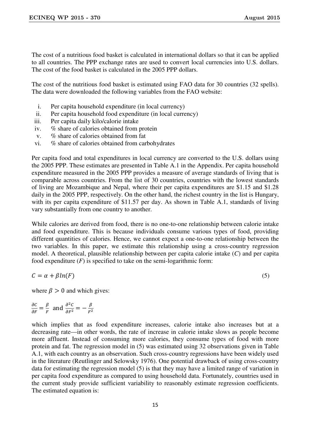The cost of a nutritious food basket is calculated in international dollars so that it can be applied to all countries. The PPP exchange rates are used to convert local currencies into U.S. dollars. The cost of the food basket is calculated in the 2005 PPP dollars.

The cost of the nutritious food basket is estimated using FAO data for 30 countries (32 spells). The data were downloaded the following variables from the FAO website:

- i. Per capita household expenditure (in local currency)
- ii. Per capita household food expenditure (in local currency)
- iii. Per capita daily kilo/calorie intake
- iv. % share of calories obtained from protein
- v. % share of calories obtained from fat
- vi. % share of calories obtained from carbohydrates

Per capita food and total expenditures in local currency are converted to the U.S. dollars using the 2005 PPP. These estimates are presented in Table A.1 in the Appendix. Per capita household expenditure measured in the 2005 PPP provides a measure of average standards of living that is comparable across countries. From the list of 30 countries, countries with the lowest standards of living are Mozambique and Nepal, where their per capita expenditures are \$1.15 and \$1.28 daily in the 2005 PPP, respectively. On the other hand, the richest country in the list is Hungary, with its per capita expenditure of \$11.57 per day. As shown in Table A.1, standards of living vary substantially from one country to another.

While calories are derived from food, there is no one-to-one relationship between calorie intake and food expenditure. This is because individuals consume various types of food, providing different quantities of calories. Hence, we cannot expect a one-to-one relationship between the two variables. In this paper, we estimate this relationship using a cross-country regression model. A theoretical, plausible relationship between per capita calorie intake (*C*) and per capita food expenditure  $(F)$  is specified to take on the semi-logarithmic form:

$$
C = \alpha + \beta \ln(F) \tag{5}
$$

where  $\beta > 0$  and which gives:

 $\frac{\partial C}{\partial F} = \frac{\beta}{F}$  $\frac{\beta}{F}$  and  $\frac{\partial^2 C}{\partial F^2} = -\frac{\beta}{F^2}$  $\frac{P}{F^2}$ 

which implies that as food expenditure increases, calorie intake also increases but at a decreasing rate—in other words, the rate of increase in calorie intake slows as people become more affluent. Instead of consuming more calories, they consume types of food with more protein and fat. The regression model in (5) was estimated using 32 observations given in Table A.1, with each country as an observation. Such cross-country regressions have been widely used in the literature (Reutlinger and Selowsky 1976). One potential drawback of using cross-country data for estimating the regression model (5) is that they may have a limited range of variation in per capita food expenditure as compared to using household data. Fortunately, countries used in the current study provide sufficient variability to reasonably estimate regression coefficients. The estimated equation is: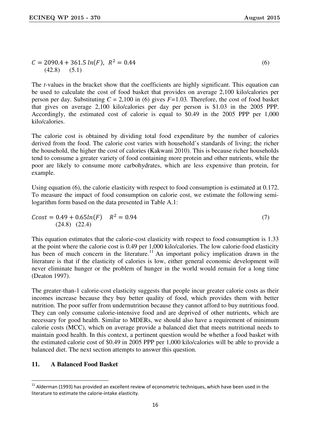$$
C = 2090.4 + 361.5 \ln(F), \ R^2 = 0.44
$$
\n
$$
(42.8) \quad (5.1)
$$
\n
$$
(6)
$$

The *t-*values in the bracket show that the coefficients are highly significant. This equation can be used to calculate the cost of food basket that provides on average 2,100 kilo/calories per person per day. Substituting *C* = 2,100 in (6) gives *F=*1.03*.* Therefore, the cost of food basket that gives on average 2,100 kilo/calories per day per person is \$1.03 in the 2005 PPP. Accordingly, the estimated cost of calorie is equal to \$0.49 in the 2005 PPP per 1,000 kilo/calories.

The calorie cost is obtained by dividing total food expenditure by the number of calories derived from the food. The calorie cost varies with household's standards of living; the richer the household, the higher the cost of calories (Kakwani 2010). This is because richer households tend to consume a greater variety of food containing more protein and other nutrients, while the poor are likely to consume more carbohydrates, which are less expensive than protein, for example.

Using equation (6), the calorie elasticity with respect to food consumption is estimated at 0.172. To measure the impact of food consumption on calorie cost, we estimate the following semilogarithm form based on the data presented in Table A.1:

$$
Ccost = 0.49 + 0.65ln(F) \quad R^2 = 0.94
$$
\n(7)\n(24.8) (22.4)

This equation estimates that the calorie-cost elasticity with respect to food consumption is 1.33 at the point where the calorie cost is 0.49 per 1,000 kilo/calories. The low calorie-food elasticity has been of much concern in the literature.<sup>11</sup> An important policy implication drawn in the literature is that if the elasticity of calories is low, either general economic development will never eliminate hunger or the problem of hunger in the world would remain for a long time (Deaton 1997).

The greater-than-1 calorie-cost elasticity suggests that people incur greater calorie costs as their incomes increase because they buy better quality of food, which provides them with better nutrition. The poor suffer from undernutrition because they cannot afford to buy nutritious food. They can only consume calorie-intensive food and are deprived of other nutrients, which are necessary for good health. Similar to MDERs, we should also have a requirement of minimum calorie costs (MCC), which on average provide a balanced diet that meets nutritional needs to maintain good health. In this context, a pertinent question would be whether a food basket with the estimated calorie cost of \$0.49 in 2005 PPP per 1,000 kilo/calories will be able to provide a balanced diet. The next section attempts to answer this question.

# **11. A Balanced Food Basket**

<u>.</u>

<sup>&</sup>lt;sup>11</sup> Alderman (1993) has provided an excellent review of econometric techniques, which have been used in the literature to estimate the calorie-intake elasticity.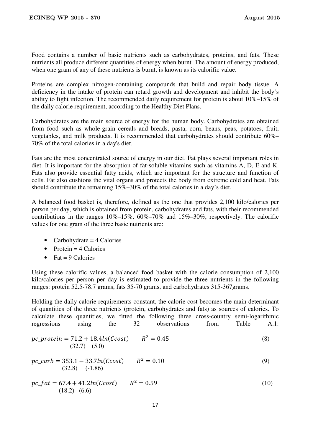Food contains a number of basic nutrients such as carbohydrates, proteins, and fats. These nutrients all produce different quantities of energy when burnt. The amount of energy produced, when one gram of any of these nutrients is burnt, is known as its calorific value.

Proteins are complex nitrogen-containing compounds that build and repair body tissue. A deficiency in the intake of protein can retard growth and development and inhibit the body's ability to fight infection. The recommended daily requirement for protein is about 10%–15% of the daily calorie requirement, according to the Healthy Diet Plans.

Carbohydrates are the main source of energy for the human body. Carbohydrates are obtained from food such as whole-grain cereals and breads, pasta, corn, beans, peas, potatoes, fruit, vegetables, and milk products. It is recommended that carbohydrates should contribute 60%– 70% of the total calories in a day's diet.

Fats are the most concentrated source of energy in our diet. Fat plays several important roles in diet. It is important for the absorption of fat-soluble vitamins such as vitamins A, D, E and K. Fats also provide essential fatty acids, which are important for the structure and function of cells. Fat also cushions the vital organs and protects the body from extreme cold and heat. Fats should contribute the remaining 15%–30% of the total calories in a day's diet.

A balanced food basket is, therefore, defined as the one that provides 2,100 kilo/calories per person per day, which is obtained from protein, carbohydrates and fats, with their recommended contributions in the ranges 10%–15%, 60%–70% and 15%–30%, respectively. The calorific values for one gram of the three basic nutrients are:

- Carbohydrate  $= 4$  Calories
- Protein  $=$  4 Calories
- Fat  $= 9$  Calories

Using these calorific values, a balanced food basket with the calorie consumption of 2,100 kilo/calories per person per day is estimated to provide the three nutrients in the following ranges: protein 52.5-78.7 grams, fats 35-70 grams, and carbohydrates 315-367grams.

Holding the daily calorie requirements constant, the calorie cost becomes the main determinant of quantities of the three nutrients (protein, carbohydrates and fats) as sources of calories. To calculate these quantities, we fitted the following three cross-country semi-logarithmic regressions using the 32 observations from Table A.1:

$$
pc\_protein = 71.2 + 18.4ln(Ccost) \qquad R^2 = 0.45
$$
\n
$$
(32.7) \quad (5.0)
$$
\n
$$
(8)
$$

$$
pc\_carb = 353.1 - 33.7ln(Ccost) \qquad R^2 = 0.10
$$
\n(9)\n(32.8) (-1.86)

$$
pc\_fat = 67.4 + 41.2ln(Ccost) \qquad R^2 = 0.59
$$
\n
$$
(10)
$$
\n
$$
(10)
$$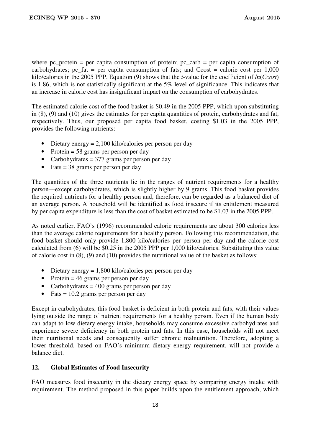where  $pc\_protein$  = per capita consumption of protein;  $pc\_carb$  = per capita consumption of carbohydrates; pc\_fat = per capita consumption of fats; and  $C\text{cost}$  = calorie cost per 1,000 kilo/calories in the 2005 PPP. Equation (9) shows that the *t*-value for the coefficient of *ln*(*Ccost*) is 1.86, which is not statistically significant at the 5% level of significance. This indicates that an increase in calorie cost has insignificant impact on the consumption of carbohydrates.

The estimated calorie cost of the food basket is \$0.49 in the 2005 PPP, which upon substituting in (8), (9) and (10) gives the estimates for per capita quantities of protein, carbohydrates and fat, respectively. Thus, our proposed per capita food basket, costing \$1.03 in the 2005 PPP, provides the following nutrients:

- Dietary energy  $= 2,100$  kilo/calories per person per day
- Protein = 58 grams per person per day
- Carbohydrates = 377 grams per person per day
- Fats  $=$  38 grams per person per day

The quantities of the three nutrients lie in the ranges of nutrient requirements for a healthy person—except carbohydrates, which is slightly higher by 9 grams. This food basket provides the required nutrients for a healthy person and, therefore, can be regarded as a balanced diet of an average person. A household will be identified as food insecure if its entitlement measured by per capita expenditure is less than the cost of basket estimated to be \$1.03 in the 2005 PPP.

As noted earlier, FAO's (1996) recommended calorie requirements are about 300 calories less than the average calorie requirements for a healthy person. Following this recommendation, the food basket should only provide 1,800 kilo/calories per person per day and the calorie cost calculated from (6) will be \$0.25 in the 2005 PPP per 1,000 kilo/calories. Substituting this value of calorie cost in (8), (9) and (10) provides the nutritional value of the basket as follows:

- Dietary energy = 1,800 kilo/calories per person per day
- Protein  $= 46$  grams per person per day
- Carbohydrates  $= 400$  grams per person per day
- Fats  $= 10.2$  grams per person per day

Except in carbohydrates, this food basket is deficient in both protein and fats, with their values lying outside the range of nutrient requirements for a healthy person. Even if the human body can adapt to low dietary energy intake, households may consume excessive carbohydrates and experience severe deficiency in both protein and fats. In this case, households will not meet their nutritional needs and consequently suffer chronic malnutrition. Therefore, adopting a lower threshold, based on FAO's minimum dietary energy requirement, will not provide a balance diet.

# **12. Global Estimates of Food Insecurity**

FAO measures food insecurity in the dietary energy space by comparing energy intake with requirement. The method proposed in this paper builds upon the entitlement approach, which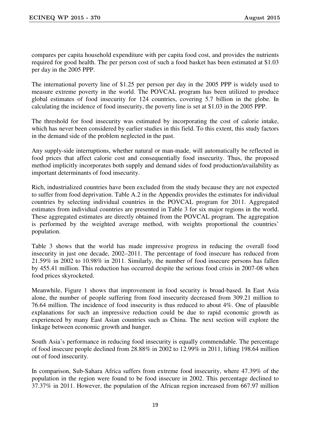compares per capita household expenditure with per capita food cost, and provides the nutrients required for good health. The per person cost of such a food basket has been estimated at \$1.03 per day in the 2005 PPP.

The international poverty line of \$1.25 per person per day in the 2005 PPP is widely used to measure extreme poverty in the world. The POVCAL program has been utilized to produce global estimates of food insecurity for 124 countries, covering 5.7 billion in the globe. In calculating the incidence of food insecurity, the poverty line is set at \$1.03 in the 2005 PPP.

The threshold for food insecurity was estimated by incorporating the cost of calorie intake, which has never been considered by earlier studies in this field. To this extent, this study factors in the demand side of the problem neglected in the past.

Any supply-side interruptions, whether natural or man-made, will automatically be reflected in food prices that affect calorie cost and consequentially food insecurity. Thus, the proposed method implicitly incorporates both supply and demand sides of food production/availability as important determinants of food insecurity.

Rich, industrialized countries have been excluded from the study because they are not expected to suffer from food deprivation. Table A.2 in the Appendix provides the estimates for individual countries by selecting individual countries in the POVCAL program for 2011. Aggregated estimates from individual countries are presented in Table 3 for six major regions in the world. These aggregated estimates are directly obtained from the POVCAL program. The aggregation is performed by the weighted average method, with weights proportional the countries' population.

Table 3 shows that the world has made impressive progress in reducing the overall food insecurity in just one decade, 2002–2011. The percentage of food insecure has reduced from 21.59% in 2002 to 10.98% in 2011. Similarly, the number of food insecure persons has fallen by 455.41 million. This reduction has occurred despite the serious food crisis in 2007-08 when food prices skyrocketed.

Meanwhile, Figure 1 shows that improvement in food security is broad-based. In East Asia alone, the number of people suffering from food insecurity decreased from 309.21 million to 76.64 million. The incidence of food insecurity is thus reduced to about 4%. One of plausible explanations for such an impressive reduction could be due to rapid economic growth as experienced by many East Asian countries such as China. The next section will explore the linkage between economic growth and hunger.

South Asia's performance in reducing food insecurity is equally commendable. The percentage of food insecure people declined from 28.88% in 2002 to 12.99% in 2011, lifting 198.64 million out of food insecurity.

In comparison, Sub-Sahara Africa suffers from extreme food insecurity, where 47.39% of the population in the region were found to be food insecure in 2002. This percentage declined to 37.37% in 2011. However, the population of the African region increased from 667.97 million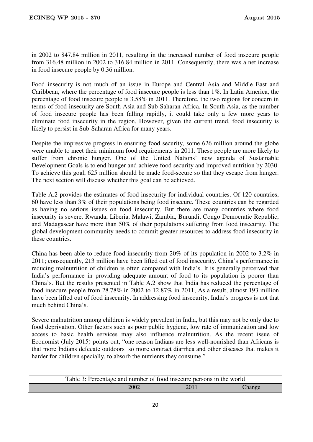in 2002 to 847.84 million in 2011, resulting in the increased number of food insecure people from 316.48 million in 2002 to 316.84 million in 2011. Consequently, there was a net increase in food insecure people by 0.36 million.

Food insecurity is not much of an issue in Europe and Central Asia and Middle East and Caribbean, where the percentage of food insecure people is less than 1%. In Latin America, the percentage of food insecure people is 3.58% in 2011. Therefore, the two regions for concern in terms of food insecurity are South Asia and Sub-Saharan Africa. In South Asia, as the number of food insecure people has been falling rapidly, it could take only a few more years to eliminate food insecurity in the region. However, given the current trend, food insecurity is likely to persist in Sub-Saharan Africa for many years.

Despite the impressive progress in ensuring food security, some 626 million around the globe were unable to meet their minimum food requirements in 2011. These people are more likely to suffer from chronic hunger. One of the United Nations' new agenda of Sustainable Development Goals is to end hunger and achieve food security and improved nutrition by 2030. To achieve this goal, 625 million should be made food-secure so that they escape from hunger. The next section will discuss whether this goal can be achieved.

Table A.2 provides the estimates of food insecurity for individual countries. Of 120 countries, 60 have less than 3% of their populations being food insecure. These countries can be regarded as having no serious issues on food insecurity. But there are many countries where food insecurity is severe. Rwanda, Liberia, Malawi, Zambia, Burundi, Congo Democratic Republic, and Madagascar have more than 50% of their populations suffering from food insecurity. The global development community needs to commit greater resources to address food insecurity in these countries.

China has been able to reduce food insecurity from 20% of its population in 2002 to 3.2% in 2011; consequently, 213 million have been lifted out of food insecurity. China's performance in reducing malnutrition of children is often compared with India's. It is generally perceived that India's performance in providing adequate amount of food to its population is poorer than China's. But the results presented in Table A.2 show that India has reduced the percentage of food insecure people from 28.78% in 2002 to 12.87% in 2011; As a result, almost 193 million have been lifted out of food insecurity. In addressing food insecurity, India's progress is not that much behind China's.

Severe malnutrition among children is widely prevalent in India, but this may not be only due to food deprivation. Other factors such as poor public hygiene, low rate of immunization and low access to basic health services may also influence malnutrition. As the recent issue of Economist (July 2015) points out, "one reason Indians are less well-nourished than Africans is that more Indians defecate outdoors so more contract diarrhea and other diseases that makes it harder for children specially, to absorb the nutrients they consume."

|      | Table 3: Percentage and number of food insecure persons in the world |        |
|------|----------------------------------------------------------------------|--------|
| 2002 | 2011                                                                 | Change |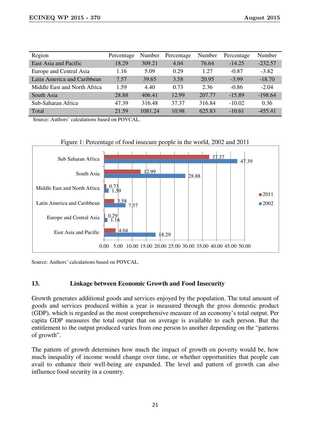| Region                       | Percentage | Number  | Percentage | Number | Percentage | Number    |
|------------------------------|------------|---------|------------|--------|------------|-----------|
| East Asia and Pacific        | 18.29      | 309.21  | 4.04       | 76.64  | $-14.25$   | $-232.57$ |
| Europe and Central Asia      | 1.16       | 5.09    | 0.29       | 1.27   | $-0.87$    | $-3.82$   |
| Latin America and Caribbean  | 7.57       | 39.65   | 3.58       | 20.95  | $-3.99$    | $-18.70$  |
| Middle East and North Africa | 1.59       | 4.40    | 0.73       | 2.36   | $-0.86$    | $-2.04$   |
| South Asia                   | 28.88      | 406.41  | 12.99      | 207.77 | $-15.89$   | $-198.64$ |
| Sub-Saharan Africa           | 47.39      | 316.48  | 37.37      | 316.84 | $-10.02$   | 0.36      |
| Total                        | 21.59      | 1081.24 | 10.98      | 625.83 | $-10.61$   | $-455.41$ |

Source: Authors' calculations based on POVCAL.





Source: Authors' calculations based on POVCAL.

# **13. Linkage between Economic Growth and Food Insecurity**

Growth generates additional goods and services enjoyed by the population. The total amount of goods and services produced within a year is measured through the gross domestic product (GDP), which is regarded as the most comprehensive measure of an economy's total output. Per capita GDP measures the total output that on average is available to each person. But the entitlement to the output produced varies from one person to another depending on the "patterns of growth".

The pattern of growth determines how much the impact of growth on poverty would be, how much inequality of income would change over time, or whether opportunities that people can avail to enhance their well-being are expanded. The level and pattern of growth can also influence food security in a country.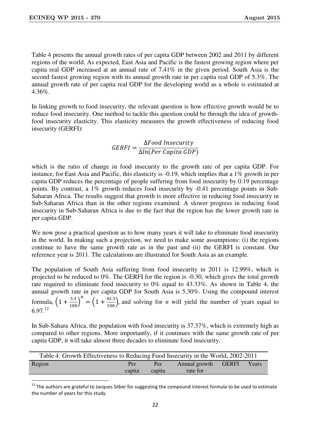<u>.</u>

Table 4 presents the annual growth rates of per capita GDP between 2002 and 2011 by different regions of the world. As expected, East Asia and Pacific is the fastest growing region where per capita real GDP increased at an annual rate of 7.41% in the given period. South Asia is the second fastest growing region with its annual growth rate in per capita real GDP of 5.3%. The annual growth rate of per capita real GDP for the developing world as a whole is estimated at 4.36%.

In linking growth to food insecurity, the relevant question is how effective growth would be to reduce food insecurity. One method to tackle this question could be through the idea of growthfood insecurity elasticity. This elasticity measures the growth effectiveness of reducing food insecurity (GERFI):

> $GERFI =$ ∆Food Insecurity ∆ln(Per Capita GDP)

which is the ratio of change in food insecurity to the growth rate of per capita GDP. For instance, for East Asia and Pacific, this elasticity is -0.19, which implies that a 1% growth in per capita GDP reduces the percentage of people suffering from food insecurity by 0.19 percentage points. By contrast, a 1% growth reduces food insecurity by -0.41 percentage points in Sub-Saharan Africa. The results suggest that growth is more effective in reducing food insecurity in Sub-Saharan Africa than in the other regions examined. A slower progress in reducing food insecurity in Sub-Saharan Africa is due to the fact that the region has the lower growth rate in per capita GDP.

We now pose a practical question as to how many years it will take to eliminate food insecurity in the world. In making such a projection, we need to make some assumptions: (i) the regions continue to have the same growth rate as in the past and (ii) the GERFI is constant. Our reference year is 2011. The calculations are illustrated for South Asia as an example.

The population of South Asia suffering from food insecurity in 2011 is 12.99%, which is projected to be reduced to 0%. The GERFI for the region is -0.30, which gives the total growth rate required to eliminate food insecurity to 0% equal to 43.33%. As shown in Table 4, the annual growth rate in per capita GDP for South Asia is 5.30%. Using the compound interest formula,  $\left(1 + \frac{5.3}{100}\right)$  $n = \left(1 + \frac{43.3}{100}\right)$ , and solving for *n* will yield the number of years equal to  $6.97^{12}$ 

In Sub-Sahara Africa, the population with food insecurity is 37.37%, which is extremely high as compared to other regions. More importantly, if it continues with the same growth rate of per capita GDP, it will take almost three decades to eliminate food insecurity.

| Table 4: Growth Effectiveness to Reducing Food Insecurity in the World, 2002-2011 |        |        |               |              |       |  |
|-----------------------------------------------------------------------------------|--------|--------|---------------|--------------|-------|--|
| <b>Region</b>                                                                     | Per    | Per    | Annual growth | <b>GERFI</b> | Years |  |
|                                                                                   | capita | capita | rate for      |              |       |  |

 $12$  The authors are grateful to Jacques Silber for suggesting the compound interest formula to be used to estimate the number of years for this study.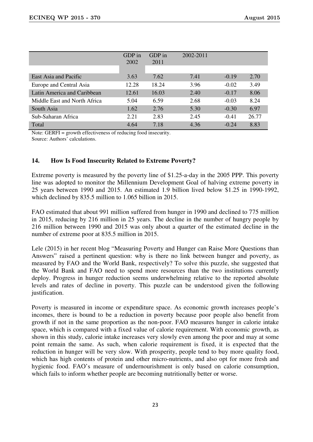|                              | GDP in<br>2002 | GDP in<br>2011 | 2002-2011 |         |       |
|------------------------------|----------------|----------------|-----------|---------|-------|
|                              |                |                |           |         |       |
| East Asia and Pacific        | 3.63           | 7.62           | 7.41      | $-0.19$ | 2.70  |
| Europe and Central Asia      | 12.28          | 18.24          | 3.96      | $-0.02$ | 3.49  |
| Latin America and Caribbean  | 12.61          | 16.03          | 2.40      | $-0.17$ | 8.06  |
| Middle East and North Africa | 5.04           | 6.59           | 2.68      | $-0.03$ | 8.24  |
| South Asia                   | 1.62           | 2.76           | 5.30      | $-0.30$ | 6.97  |
| Sub-Saharan Africa           | 2.21           | 2.83           | 2.45      | $-0.41$ | 26.77 |
| Total                        | 4.64           | 7.18           | 4.36      | $-0.24$ | 8.83  |

Note: GERFI = growth effectiveness of reducing food insecurity.

Source: Authors' calculations.

# **14. How Is Food Insecurity Related to Extreme Poverty?**

Extreme poverty is measured by the poverty line of \$1.25-a-day in the 2005 PPP. This poverty line was adopted to monitor the Millennium Development Goal of halving extreme poverty in 25 years between 1990 and 2015. An estimated 1.9 billion lived below \$1.25 in 1990-1992, which declined by 835.5 million to 1.065 billion in 2015.

FAO estimated that about 991 million suffered from hunger in 1990 and declined to 775 million in 2015, reducing by 216 million in 25 years. The decline in the number of hungry people by 216 million between 1990 and 2015 was only about a quarter of the estimated decline in the number of extreme poor at 835.5 million in 2015.

Lele (2015) in her recent blog "Measuring Poverty and Hunger can Raise More Questions than Answers" raised a pertinent question: why is there no link between hunger and poverty, as measured by FAO and the World Bank, respectively? To solve this puzzle, she suggested that the World Bank and FAO need to spend more resources than the two institutions currently deploy. Progress in hunger reduction seems underwhelming relative to the reported absolute levels and rates of decline in poverty. This puzzle can be understood given the following justification.

Poverty is measured in income or expenditure space. As economic growth increases people's incomes, there is bound to be a reduction in poverty because poor people also benefit from growth if not in the same proportion as the non-poor. FAO measures hunger in calorie intake space, which is compared with a fixed value of calorie requirement. With economic growth, as shown in this study, calorie intake increases very slowly even among the poor and may at some point remain the same. As such, when calorie requirement is fixed, it is expected that the reduction in hunger will be very slow. With prosperity, people tend to buy more quality food, which has high contents of protein and other micro-nutrients, and also opt for more fresh and hygienic food. FAO's measure of undernourishment is only based on calorie consumption, which fails to inform whether people are becoming nutritionally better or worse.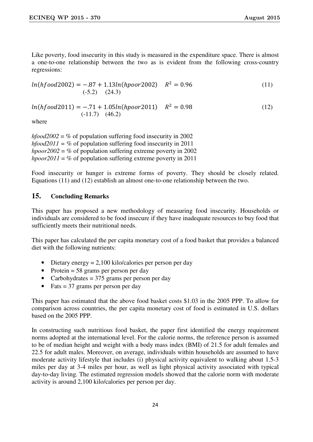Like poverty, food insecurity in this study is measured in the expenditure space. There is almost a one-to-one relationship between the two as is evident from the following cross-country regressions:

$$
ln(hfood2002) = -.87 + 1.13ln(hpoor2002) \quad R^2 = 0.96
$$
\n
$$
(.5.2) \quad (24.3)
$$
\n
$$
(11)
$$

 $ln(hfood2011) = -.71 + 1.05ln(hpoor2011)$   $R^2 = 0.98$  (12) (-11.7) (46.2)

where

*hfood2002* = % of population suffering food insecurity in 2002 *hfood2011 =* % of population suffering food insecurity in 2011 *hpoor2002* = % of population suffering extreme poverty in 2002 *hpoor2011* = % of population suffering extreme poverty in 2011

Food insecurity or hunger is extreme forms of poverty. They should be closely related. Equations (11) and (12) establish an almost one-to-one relationship between the two.

# **15. Concluding Remarks**

This paper has proposed a new methodology of measuring food insecurity. Households or individuals are considered to be food insecure if they have inadequate resources to buy food that sufficiently meets their nutritional needs.

This paper has calculated the per capita monetary cost of a food basket that provides a balanced diet with the following nutrients:

- Dietary energy  $= 2,100$  kilo/calories per person per day
- Protein = 58 grams per person per day
- Carbohydrates  $= 375$  grams per person per day
- Fats  $=$  37 grams per person per day

This paper has estimated that the above food basket costs \$1.03 in the 2005 PPP. To allow for comparison across countries, the per capita monetary cost of food is estimated in U.S. dollars based on the 2005 PPP.

In constructing such nutritious food basket, the paper first identified the energy requirement norms adopted at the international level. For the calorie norms, the reference person is assumed to be of median height and weight with a body mass index (BMI) of 21.5 for adult females and 22.5 for adult males. Moreover, on average, individuals within households are assumed to have moderate activity lifestyle that includes (i) physical activity equivalent to walking about 1.5-3 miles per day at 3-4 miles per hour, as well as light physical activity associated with typical day-to-day living. The estimated regression models showed that the calorie norm with moderate activity is around 2,100 kilo/calories per person per day.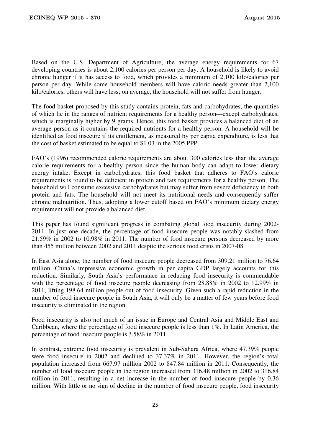Based on the U.S. Department of Agriculture, the average energy requirements for 67 developing countries is about 2,100 calories per person per day. A household is likely to avoid chronic hunger if it has access to food, which provides a minimum of 2,100 kilo/calories per person per day. While some household members will have caloric needs greater than 2,100 kilo/calories, others will have less; on average, the household will not suffer from hunger.

The food basket proposed by this study contains protein, fats and carbohydrates, the quantities of which lie in the ranges of nutrient requirements for a healthy person—except carbohydrates, which is marginally higher by 9 grams. Hence, this food basket provides a balanced diet of an average person as it contains the required nutrients for a healthy person. A household will be identified as food insecure if its entitlement, as measured by per capita expenditure, is less that the cost of basket estimated to be equal to \$1.03 in the 2005 PPP.

FAO's (1996) recommended calorie requirements are about 300 calories less than the average calorie requirements for a healthy person since the human body can adapt to lower dietary energy intake. Except in carbohydrates, this food basket that adheres to FAO's calorie requirements is found to be deficient in protein and fats requirements for a healthy person. The household will consume excessive carbohydrates but may suffer from severe deficiency in both protein and fats. The household will not meet its nutritional needs and consequently suffer chronic malnutrition. Thus, adopting a lower cutoff based on FAO's minimum dietary energy requirement will not provide a balanced diet.

This paper has found significant progress in combating global food insecurity during 2002- 2011. In just one decade, the percentage of food insecure people was notably slashed from 21.59% in 2002 to 10.98% in 2011. The number of food insecure persons decreased by more than 455 million between 2002 and 2011 despite the serious food crisis in 2007-08.

In East Asia alone, the number of food insecure people decreased from 309.21 million to 76.64 million. China's impressive economic growth in per capita GDP largely accounts for this reduction. Similarly, South Asia's performance in reducing food insecurity is commendable with the percentage of food insecure people decreasing from 28.88% in 2002 to 12.99% in 2011, lifting 198.64 million people out of food insecurity. Given such a rapid reduction in the number of food insecure people in South Asia, it will only be a matter of few years before food insecurity is eliminated in the region.

Food insecurity is also not much of an issue in Europe and Central Asia and Middle East and Caribbean, where the percentage of food insecure people is less than 1%. In Latin America, the percentage of food insecure people is 3.58% in 2011.

In contrast, extreme food insecurity is prevalent in Sub-Sahara Africa, where 47.39% people were food insecure in 2002 and declined to 37.37% in 2011. However, the region's total population increased from 667.97 million 2002 to 847.84 million in 2011. Consequently, the number of food insecure people in the region increased from 316.48 million in 2002 to 316.84 million in 2011, resulting in a net increase in the number of food insecure people by 0.36 million. With little or no sign of decline in the number of food insecure people, food insecurity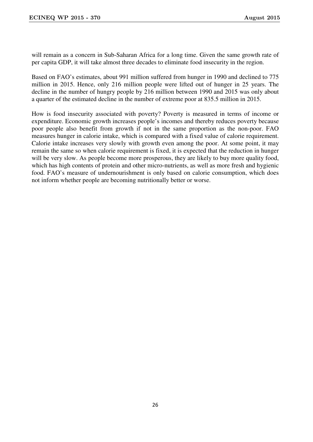will remain as a concern in Sub-Saharan Africa for a long time. Given the same growth rate of per capita GDP, it will take almost three decades to eliminate food insecurity in the region.

Based on FAO's estimates, about 991 million suffered from hunger in 1990 and declined to 775 million in 2015. Hence, only 216 million people were lifted out of hunger in 25 years. The decline in the number of hungry people by 216 million between 1990 and 2015 was only about a quarter of the estimated decline in the number of extreme poor at 835.5 million in 2015.

How is food insecurity associated with poverty? Poverty is measured in terms of income or expenditure. Economic growth increases people's incomes and thereby reduces poverty because poor people also benefit from growth if not in the same proportion as the non-poor. FAO measures hunger in calorie intake, which is compared with a fixed value of calorie requirement. Calorie intake increases very slowly with growth even among the poor. At some point, it may remain the same so when calorie requirement is fixed, it is expected that the reduction in hunger will be very slow. As people become more prosperous, they are likely to buy more quality food, which has high contents of protein and other micro-nutrients, as well as more fresh and hygienic food. FAO's measure of undernourishment is only based on calorie consumption, which does not inform whether people are becoming nutritionally better or worse.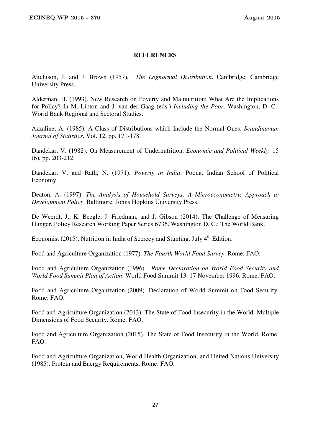## **REFERENCES**

Aitchison, J. and J. Brown (1957). *The Lognormal Distribution*. Cambridge: Cambridge University Press.

Alderman, H. (1993). New Research on Poverty and Malnutrition: What Are the Implications for Policy? In M. Lipton and J. van der Gaag (eds.) *Including the Poor*. Washington, D. C.: World Bank Regional and Sectoral Studies.

Azzaline, A. (1985). A Class of Distributions which Include the Normal Ones. *Scandinavian Journal of Statistics,* Vol. 12, pp. 171-178.

Dandekar, V. (1982). On Measurement of Undernutrition. *Economic and Political Weekly,* 15 (6), pp. 203-212.

Dandekar, V. and Rath, N. (1971). *Poverty in India*. Poona, Indian School of Political Economy.

Deaton, A. (1997). *The Analysis of Household Surveys: A Microeconometric Approach to Development Policy*. Baltimore: Johns Hopkins University Press.

De Weerdt, J., K. Beegle, J. Friedman, and J. Gibson (2014). The Challenge of Measuring Hunger. Policy Research Working Paper Series 6736. Washington D. C.: The World Bank.

Economist (2015). Nutrition in India of Secrecy and Stunting. July  $4<sup>th</sup>$  Edition.

Food and Agriculture Organization (1977). *The Fourth World Food Survey*. Rome: FAO.

Food and Agriculture Organization (1996). *Rome Declaration on World Food Security and World Food Summit Plan of Action*. World Food Summit 13–17 November 1996. Rome: FAO.

Food and Agriculture Organization (2009). Declaration of World Summit on Food Security. Rome: FAO.

Food and Agriculture Organization (2013). The State of Food Insecurity in the World: Multiple Dimensions of Food Security. Rome: FAO.

Food and Agriculture Organization (2015). The State of Food Insecurity in the World. Rome: FAO.

Food and Agriculture Organization, World Health Organization, and United Nations University (1985). Protein and Energy Requirements. Rome: FAO.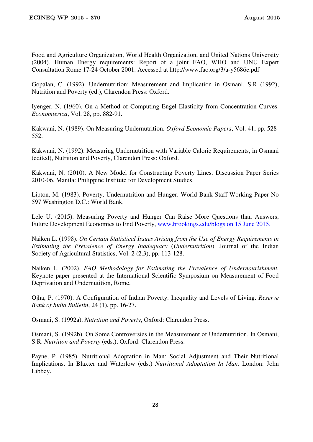Food and Agriculture Organization, World Health Organization, and United Nations University (2004). Human Energy requirements: Report of a joint FAO, WHO and UNU Expert Consultation Rome 17-24 October 2001. Accessed at http://www.fao.org/3/a-y5686e.pdf

Gopalan, C. (1992). Undernutrition: Measurement and Implication in Osmani, S.R (1992), Nutrition and Poverty (ed.), Clarendon Press: Oxford.

Iyenger, N. (1960). On a Method of Computing Engel Elasticity from Concentration Curves. *Economterica*, Vol. 28, pp. 882-91.

Kakwani, N. (1989). On Measuring Undernutrition. *Oxford Economic Papers*, Vol. 41, pp. 528- 552.

Kakwani, N. (1992). Measuring Undernutrition with Variable Calorie Requirements, in Osmani (edited), Nutrition and Poverty, Clarendon Press: Oxford.

Kakwani, N. (2010). A New Model for Constructing Poverty Lines. Discussion Paper Series 2010-06. Manila: Philippine Institute for Development Studies.

Lipton, M. (1983). Poverty, Undernutrition and Hunger. World Bank Staff Working Paper No 597 Washington D.C.: World Bank.

Lele U. (2015). Measuring Poverty and Hunger Can Raise More Questions than Answers, Future Development Economics to End Poverty, www.brookings.edu/blogs on 15 June 2015.

Naiken L. (1998). *On Certain Statistical Issues Arising from the Use of Energy Requirements in Estimating the Prevalence of Energy Inadequacy* (*Undernutrition*). Journal of the Indian Society of Agricultural Statistics, Vol. 2 (2.3), pp. 113-128.

Naiken L. (2002). *FAO Methodology for Estimating the Prevalence of Undernourishment.* Keynote paper presented at the International Scientific Symposium on Measurement of Food Deprivation and Undernutition, Rome.

Ojha, P. (1970). A Configuration of Indian Poverty: Inequality and Levels of Living. *Reserve Bank of India Bulletin*, 24 (1), pp. 16-27.

Osmani, S. (1992a). *Nutrition and Poverty*, Oxford: Clarendon Press.

Osmani, S. (1992b). On Some Controversies in the Measurement of Undernutrition. In Osmani, S.R. *Nutrition and Poverty* (eds.), Oxford: Clarendon Press.

Payne, P. (1985). Nutritional Adoptation in Man: Social Adjustment and Their Nutritional Implications. In Blaxter and Waterlow (eds.) *Nutritional Adoptation In Man,* London: John Libbey.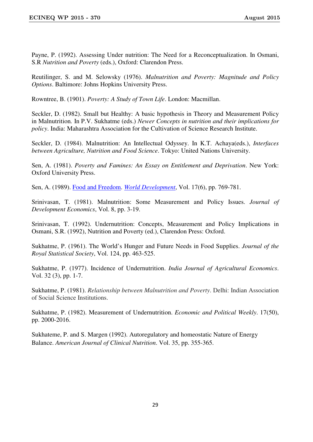Payne, P. (1992). Assessing Under nutrition: The Need for a Reconceptualization. In Osmani, S.R *Nutrition and Poverty* (eds.), Oxford: Clarendon Press.

Reutilinger, S. and M. Selowsky (1976). *Malnutrition and Poverty: Magnitude and Policy Options*. Baltimore: Johns Hopkins University Press.

Rowntree, B. (1901). *Poverty: A Study of Town Life*. London: Macmillan.

Seckler, D. (1982). Small but Healthy: A basic hypothesis in Theory and Measurement Policy in Malnutrition*.* In P.V. Sukhatme (eds.) *Newer Concepts in nutrition and their implications for policy*. India: Maharashtra Association for the Cultivation of Science Research Institute.

Seckler, D. (1984). Malnutrition: An Intellectual Odyssey. In K.T. Achaya(eds.), *Interfaces between Agriculture, Nutrition and Food Science*. Tokyo: United Nations University.

Sen, A. (1981). *Poverty and Famines: An Essay on Entitlement and Deprivation*. New York: Oxford University Press.

Sen, A. (1989). Food and Freedom. *World Development*, Vol. 17(6), pp. 769-781.

Srinivasan, T. (1981). Malnutrition: Some Measurement and Policy Issues. *Journal of Development Economics*, Vol. 8, pp. 3-19.

Srinivasan, T. (1992). Undernutrition: Concepts, Measurement and Policy Implications in Osmani, S.R. (1992), Nutrition and Poverty (ed.), Clarendon Press: Oxford.

Sukhatme, P. (1961). The World's Hunger and Future Needs in Food Supplies. *Journal of the Royal Statistical Society*, Vol. 124, pp. 463-525.

Sukhatme, P. (1977). Incidence of Undernutrition. *India Journal of Agricultural Economics*. Vol. 32 (3), pp. 1-7.

Sukhatme, P. (1981). *Relationship between Malnutrition and Poverty*. Delhi: Indian Association of Social Science Institutions.

Sukhatme, P. (1982). Measurement of Undernutrition. *Economic and Political Weekly*. 17(50), pp. 2000-2016.

Sukhateme, P. and S. Margen (1992). Autoregulatory and homeostatic Nature of Energy Balance. *American Journal of Clinical Nutrition*. Vol. 35, pp. 355-365.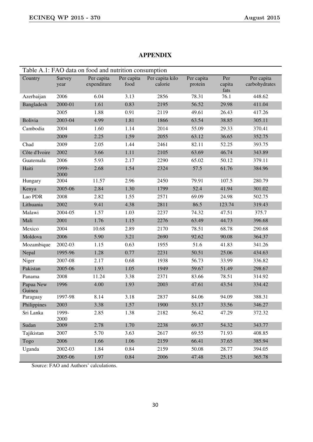#### Table A.1: FAO data on food and nutrition consumption Country Survey year Per capita expenditure Per capita food Per capita kilo calorie Per capita protein Per capita fats Per capita carbohydrates Azerbaijan 2006 6.04 3.13 2856 78.31 76.1 448.62 Bangladesh 2000-01 1.61 0.83 2195 56.52 29.98 411.04 2005 1.88 0.91 2119 49.61 26.43 417.26 Bolivia 2003-04 4.99 1.81 1866 63.54 38.85 305.11 Cambodia 2004 1.60 1.14 2014 55.09 29.33 370.41 2009 2.25 1.59 2055 63.12 36.65 352.75 Chad 2009 2.05 1.44 2461 82.11 52.25 393.75 Côte d'Ivoire 2002 3.66 1.11 2105 63.69 46.74 343.89 Guatemala 2006 5.93 2.17 2290 65.02 50.12 379.11 Haiti 1999- 2000 2.68 1.54 2324 57.5 61.76 384.96 Hungary 2004 11.57 2.96 2450 79.91 107.5 280.79 Kenya 2005-06 2.84 1.30 1799 52.4 41.94 301.02 Lao PDR 2008 2.82 1.55 2571 69.09 24.98 502.75 Lithuania 2002 9.41 4.38 2811 86.5 123.74 319.43 Malawi 2004-05 1.57 1.03 2237 74.32 47.51 375.7 Mali 2001 1.76 1.15 2276 63.49 44.73 396.68 Mexico 2004 10.68 2.89 2170 78.51 68.78 290.68 Moldova 2006 5.90 3.21 2690 92.62 90.08 364.37 Mozambique 2002-03 1.15 0.63 1955 51.6 41.83 341.26 Nepal 1995-96 1.28 0.77 2231 50.51 25.06 434.63 Niger 2007-08 2.17 0.68 1938 56.73 33.99 336.82 Pakistan 2005-06 1.93 1.05 1949 59.67 51.49 298.67 Panama 2008 11.24 3.38 2371 83.66 78.51 314.92 Papua New Guinea 1996 4.00 1.93 2003 47.61 43.54 334.42 Paraguay 1997-98 8.14 3.18 2837 84.06 94.09 388.31 Philippines 2003 3.38 1.57 1900 53.17 33.56 346.27 Sri Lanka 1999-2000 2.85 1.38 2182 56.42 47.29 372.32

#### **APPENDIX**

Source: FAO and Authors' calculations.

2005-06 1.97 0.84 2006 47.48 25.15 365.78

Sudan 2009 2.78 1.70 2238 69.37 54.32 343.77 Tajikistan 2007 5.70 3.63 2617 69.55 71.93 408.85 Togo 2006 1.66 1.06 2159 66.41 37.65 385.94 Uganda 2002-03 1.84 0.84 2159 50.08 28.77 394.05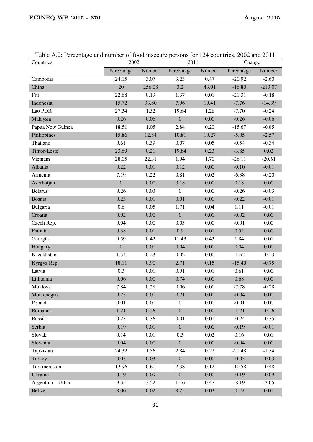| Countries         | 2002             |          | 2011             |          | Change     |           |
|-------------------|------------------|----------|------------------|----------|------------|-----------|
|                   | Percentage       | Number   | Percentage       | Number   | Percentage | Number    |
| Cambodia          | 24.15            | 3.07     | 3.23             | 0.47     | $-20.92$   | $-2.60$   |
| China             | 20               | 256.08   | 3.2              | 43.01    | $-16.80$   | $-213.07$ |
| Fiji              | 22.68            | 0.19     | 1.37             | 0.01     | $-21.31$   | $-0.18$   |
| Indonesia         | 15.72            | 33.80    | 7.96             | 19.41    | $-7.76$    | $-14.39$  |
| Lao PDR           | 27.34            | 1.52     | 19.64            | 1.28     | $-7.70$    | $-0.24$   |
| Malaysia          | 0.26             | 0.06     | $\boldsymbol{0}$ | 0.00     | $-0.26$    | $-0.06$   |
| Papua New Guinea  | 18.51            | 1.05     | 2.84             | 0.20     | $-15.67$   | $-0.85$   |
| Philippines       | 15.86            | 12.84    | 10.81            | 10.27    | $-5.05$    | $-2.57$   |
| Thailand          | 0.61             | 0.39     | 0.07             | 0.05     | $-0.54$    | $-0.34$   |
| Timor-Leste       | 23.69            | 0.21     | 19.84            | 0.23     | $-3.85$    | 0.02      |
| Vietnam           | 28.05            | 22.31    | 1.94             | 1.70     | $-26.11$   | $-20.61$  |
| Albania           | 0.22             | 0.01     | 0.12             | 0.00     | $-0.10$    | $-0.01$   |
| Armenia           | 7.19             | 0.22     | 0.81             | 0.02     | $-6.38$    | $-0.20$   |
| Azerbaijan        | $\boldsymbol{0}$ | 0.00     | 0.18             | 0.00     | 0.18       | 0.00      |
| <b>Belarus</b>    | 0.26             | 0.03     | $\boldsymbol{0}$ | 0.00     | $-0.26$    | $-0.03$   |
| Bosnia            | 0.23             | 0.01     | 0.01             | 0.00     | $-0.22$    | $-0.01$   |
| Bulgaria          | 0.6              | 0.05     | 1.71             | 0.04     | 1.11       | $-0.01$   |
| Croatia           | 0.02             | 0.00     | $\boldsymbol{0}$ | 0.00     | $-0.02$    | 0.00      |
| Czech Rep.        | 0.04             | 0.00     | 0.03             | 0.00     | $-0.01$    | 0.00      |
| Estonia           | 0.38             | 0.01     | 0.9              | 0.01     | 0.52       | 0.00      |
| Georgia           | 9.59             | 0.42     | 11.43            | 0.43     | 1.84       | 0.01      |
| Hungary           | $\boldsymbol{0}$ | 0.00     | 0.04             | 0.00     | 0.04       | 0.00      |
| Kazakhstan        | 1.54             | 0.23     | 0.02             | 0.00     | $-1.52$    | $-0.23$   |
| Kyrgyz Rep.       | 18.11            | 0.90     | 2.71             | 0.15     | $-15.40$   | $-0.75$   |
| Latvia            | 0.3              | 0.01     | 0.91             | 0.01     | 0.61       | 0.00      |
| Lithuania         | 0.06             | 0.00     | 0.74             | 0.00     | 0.68       | 0.00      |
| Moldova           | 7.84             | 0.28     | 0.06             | 0.00     | $-7.78$    | $-0.28$   |
| Montenegro        | 0.25             | $0.00\,$ | 0.21             | $0.00\,$ | $-0.04$    | $0.00\,$  |
| Poland            | 0.01             | 0.00     | $\overline{0}$   | 0.00     | $-0.01$    | 0.00      |
| Romania           | 1.21             | 0.26     | $\boldsymbol{0}$ | 0.00     | $-1.21$    | $-0.26$   |
| Russia            | 0.25             | 0.36     | 0.01             | 0.01     | $-0.24$    | $-0.35$   |
| Serbia            | 0.19             | 0.01     | $\boldsymbol{0}$ | 0.00     | $-0.19$    | $-0.01$   |
| Slovak            | 0.14             | 0.01     | 0.3              | 0.02     | 0.16       | 0.01      |
| Slovenia          | 0.04             | 0.00     | $\boldsymbol{0}$ | $0.00\,$ | $-0.04$    | $0.00\,$  |
| Tajikistan        | 24.32            | 1.56     | 2.84             | 0.22     | $-21.48$   | $-1.34$   |
| Turkey            | 0.05             | 0.03     | $\boldsymbol{0}$ | $0.00\,$ | $-0.05$    | $-0.03$   |
| Turkmenistan      | 12.96            | 0.60     | 2.38             | 0.12     | $-10.58$   | $-0.48$   |
| Ukraine           | 0.19             | 0.09     | $\overline{0}$   | 0.00     | $-0.19$    | $-0.09$   |
| Argentina - Urban | 9.35             | 3.52     | 1.16             | 0.47     | $-8.19$    | $-3.05$   |
| <b>Belize</b>     | 8.06             | 0.02     | 8.25             | 0.03     | 0.19       | 0.01      |

Table A.2: Percentage and number of food insecure persons for 124 countries, 2002 and 2011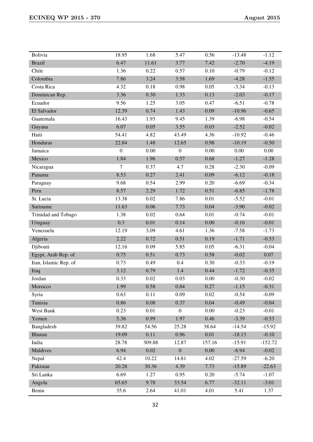| Bolivia               | 18.95            | 1.68   | 5.47             | 0.56     | $-13.48$ | $-1.12$   |
|-----------------------|------------------|--------|------------------|----------|----------|-----------|
| <b>Brazil</b>         | 6.47             | 11.61  | 3.77             | 7.42     | $-2.70$  | $-4.19$   |
| Chile                 | 1.36             | 0.22   | 0.57             | 0.10     | $-0.79$  | $-0.12$   |
| Colombia              | 7.86             | 3.24   | 3.58             | 1.69     | $-4.28$  | $-1.55$   |
| Costa Rica            | 4.32             | 0.18   | 0.98             | 0.05     | $-3.34$  | $-0.13$   |
| Dominican Rep.        | 3.36             | 0.30   | 1.33             | 0.13     | $-2.03$  | $-0.17$   |
| Ecuador               | 9.56             | 1.25   | 3.05             | 0.47     | $-6.51$  | $-0.78$   |
| El Salvador           | 12.39            | 0.74   | 1.43             | 0.09     | $-10.96$ | $-0.65$   |
| Guatemala             | 16.43            | 1.93   | 9.45             | 1.39     | $-6.98$  | $-0.54$   |
| Guyana                | 6.07             | 0.05   | 3.55             | 0.03     | $-2.52$  | $-0.02$   |
| Haiti                 | 54.41            | 4.82   | 43.49            | 4.36     | $-10.92$ | $-0.46$   |
| Honduras              | 22.84            | 1.48   | 12.65            | 0.98     | $-10.19$ | $-0.50$   |
| Jamaica               | $\boldsymbol{0}$ | 0.00   | $\mathbf{0}$     | 0.00     | 0.00     | $0.00\,$  |
| Mexico                | 1.84             | 1.96   | 0.57             | 0.68     | $-1.27$  | $-1.28$   |
| Nicaragua             | 7                | 0.37   | 4.7              | 0.28     | $-2.30$  | $-0.09$   |
| Panama                | 8.53             | 0.27   | 2.41             | 0.09     | $-6.12$  | $-0.18$   |
| Paraguay              | 9.68             | 0.54   | 2.99             | 0.20     | $-6.69$  | $-0.34$   |
| Peru                  | 8.57             | 2.29   | 1.72             | 0.51     | $-6.85$  | $-1.78$   |
| St. Lucia             | 13.38            | 0.02   | 7.86             | 0.01     | $-5.52$  | $-0.01$   |
| Suriname              | 11.63            | 0.06   | 7.73             | 0.04     | $-3.90$  | $-0.02$   |
| Trinidad and Tobago   | 1.38             | 0.02   | 0.64             | 0.01     | $-0.74$  | $-0.01$   |
| Uruguay               | 0.3              | 0.01   | 0.14             | 0.00     | $-0.16$  | $-0.01$   |
| Venezuela             | 12.19            | 3.09   | 4.61             | 1.36     | $-7.58$  | $-1.73$   |
| Algeria               | 2.22             | 0.72   | 0.51             | 0.19     | $-1.71$  | $-0.53$   |
| Djibouti              | 12.16            | 0.09   | 5.85             | 0.05     | $-6.31$  | $-0.04$   |
| Egypt, Arab Rep. of   | 0.75             | 0.51   | 0.73             | 0.58     | $-0.02$  | 0.07      |
| Iran, Islamic Rep. of | 0.73             | 0.49   | 0.4              | 0.30     | $-0.33$  | $-0.19$   |
| Iraq                  | 3.12             | 0.79   | 1.4              | 0.44     | $-1.72$  | $-0.35$   |
| Jordan                | 0.33             | 0.02   | 0.03             | 0.00     | $-0.30$  | $-0.02$   |
| Morocco               | 1.99             | 0.58   | 0.84             | 0.27     | $-1.15$  | $-0.31$   |
| Syria                 | 0.63             | 0.11   | 0.09             | 0.02     | $-0.54$  | $-0.09$   |
| Tunisia               | 0.86             | 0.08   | 0.37             | 0.04     | $-0.49$  | $-0.04$   |
| West Bank             | 0.23             | 0.01   | $\boldsymbol{0}$ | 0.00     | $-0.23$  | $-0.01$   |
| Yemen                 | 5.36             | 0.99   | 1.97             | 0.46     | $-3.39$  | $-0.53$   |
| Bangladesh            | 39.82            | 54.56  | 25.28            | 38.64    | $-14.54$ | $-15.92$  |
| <b>Bhutan</b>         | 19.09            | 0.11   | 0.96             | $0.01\,$ | $-18.13$ | $-0.10$   |
| India                 | 28.78            | 309.88 | 12.87            | 157.16   | $-15.91$ | $-152.72$ |
| Maldives              | 6.94             | 0.02   | $\boldsymbol{0}$ | 0.00     | $-6.94$  | $-0.02$   |
| Nepal                 | 42.4             | 10.22  | 14.81            | 4.02     | $-27.59$ | $-6.20$   |
| Pakistan              | 20.28            | 30.36  | 4.39             | 7.73     | $-15.89$ | $-22.63$  |
| Sri Lanka             | 6.69             | 1.27   | 0.95             | 0.20     | $-5.74$  | $-1.07$   |
| Angola                | 65.65            | 9.78   | 33.54            | 6.77     | $-32.11$ | $-3.01$   |
| Benin                 | 35.6             | 2.64   | 41.01            | 4.01     | 5.41     | 1.37      |